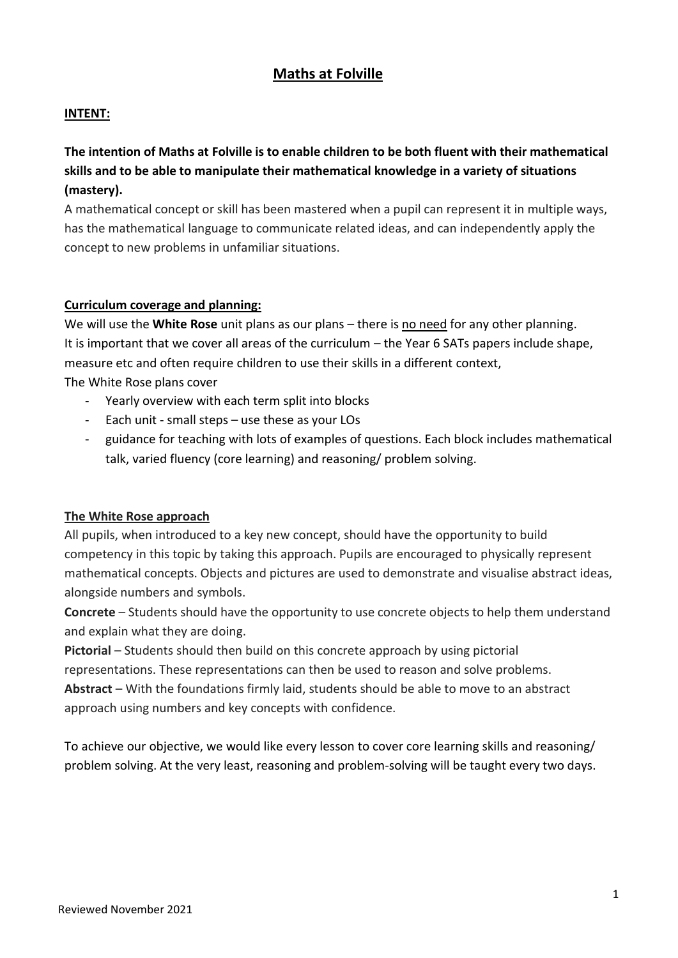# **Maths at Folville**

# **INTENT:**

# **The intention of Maths at Folville is to enable children to be both fluent with their mathematical skills and to be able to manipulate their mathematical knowledge in a variety of situations (mastery).**

A mathematical concept or skill has been mastered when a pupil can represent it in multiple ways, has the mathematical language to communicate related ideas, and can independently apply the concept to new problems in unfamiliar situations.

#### **Curriculum coverage and planning:**

We will use the **White Rose** unit plans as our plans – there is no need for any other planning. It is important that we cover all areas of the curriculum – the Year 6 SATs papers include shape, measure etc and often require children to use their skills in a different context, The White Rose plans cover

- Yearly overview with each term split into blocks
- Each unit small steps use these as your LOs
- guidance for teaching with lots of examples of questions. Each block includes mathematical talk, varied fluency (core learning) and reasoning/ problem solving.

#### **The White Rose approach**

All pupils, when introduced to a key new concept, should have the opportunity to build competency in this topic by taking this approach. Pupils are encouraged to physically represent mathematical concepts. Objects and pictures are used to demonstrate and visualise abstract ideas, alongside numbers and symbols.

**Concrete** – Students should have the opportunity to use concrete objects to help them understand and explain what they are doing.

**Pictorial** – Students should then build on this concrete approach by using pictorial

representations. These representations can then be used to reason and solve problems.

**Abstract** – With the foundations firmly laid, students should be able to move to an abstract approach using numbers and key concepts with confidence.

To achieve our objective, we would like every lesson to cover core learning skills and reasoning/ problem solving. At the very least, reasoning and problem-solving will be taught every two days.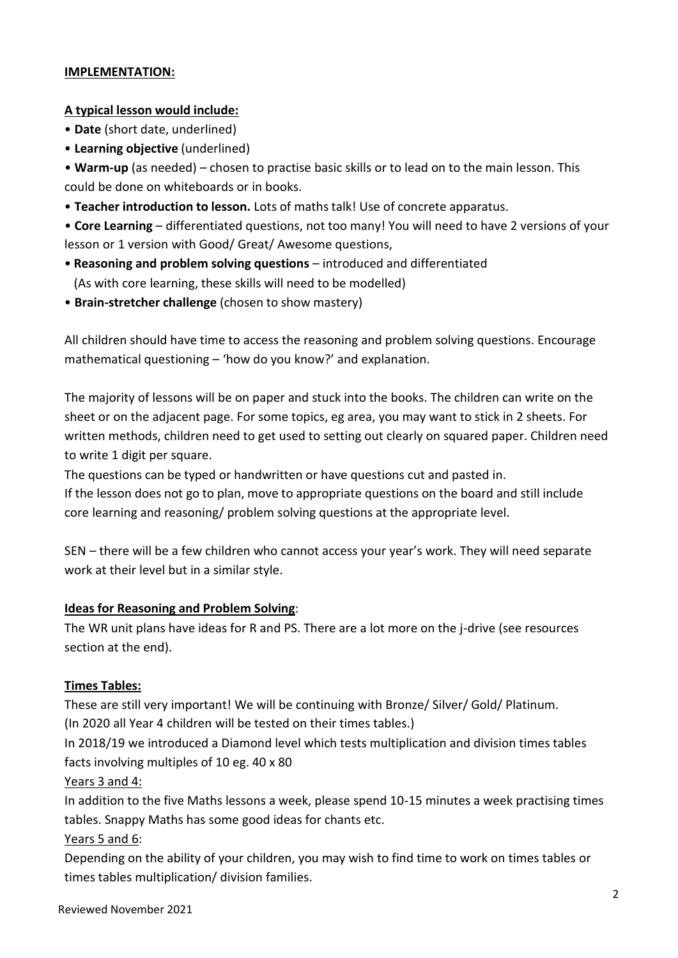## **IMPLEMENTATION:**

#### **A typical lesson would include:**

- **Date** (short date, underlined)
- **Learning objective** (underlined)

• **Warm-up** (as needed) – chosen to practise basic skills or to lead on to the main lesson. This could be done on whiteboards or in books.

• **Teacher introduction to lesson.** Lots of maths talk! Use of concrete apparatus.

• **Core Learning** – differentiated questions, not too many! You will need to have 2 versions of your lesson or 1 version with Good/ Great/ Awesome questions,

- **Reasoning and problem solving questions**  introduced and differentiated (As with core learning, these skills will need to be modelled)
- **Brain-stretcher challenge** (chosen to show mastery)

All children should have time to access the reasoning and problem solving questions. Encourage mathematical questioning – 'how do you know?' and explanation.

The majority of lessons will be on paper and stuck into the books. The children can write on the sheet or on the adjacent page. For some topics, eg area, you may want to stick in 2 sheets. For written methods, children need to get used to setting out clearly on squared paper. Children need to write 1 digit per square.

The questions can be typed or handwritten or have questions cut and pasted in.

If the lesson does not go to plan, move to appropriate questions on the board and still include core learning and reasoning/ problem solving questions at the appropriate level.

SEN – there will be a few children who cannot access your year's work. They will need separate work at their level but in a similar style.

#### **Ideas for Reasoning and Problem Solving**:

The WR unit plans have ideas for R and PS. There are a lot more on the j-drive (see resources section at the end).

#### **Times Tables:**

These are still very important! We will be continuing with Bronze/ Silver/ Gold/ Platinum. (In 2020 all Year 4 children will be tested on their times tables.)

In 2018/19 we introduced a Diamond level which tests multiplication and division times tables facts involving multiples of 10 eg. 40 x 80

#### Years 3 and 4:

In addition to the five Maths lessons a week, please spend 10-15 minutes a week practising times tables. Snappy Maths has some good ideas for chants etc.

#### Years 5 and 6:

Depending on the ability of your children, you may wish to find time to work on times tables or times tables multiplication/ division families.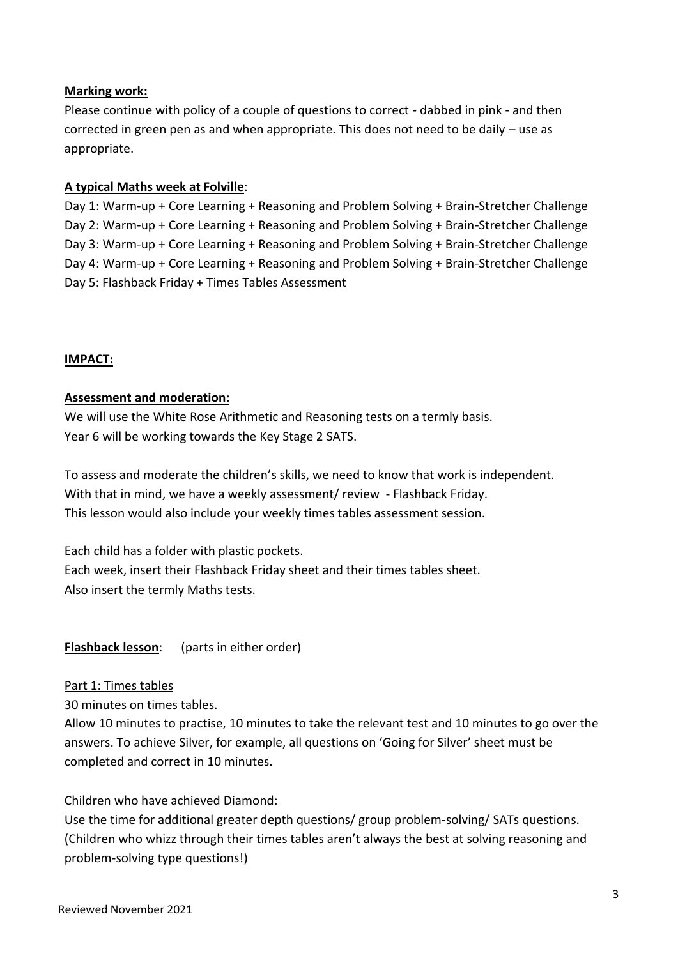### **Marking work:**

Please continue with policy of a couple of questions to correct - dabbed in pink - and then corrected in green pen as and when appropriate. This does not need to be daily – use as appropriate.

#### **A typical Maths week at Folville**:

Day 1: Warm-up + Core Learning + Reasoning and Problem Solving + Brain-Stretcher Challenge Day 2: Warm-up + Core Learning + Reasoning and Problem Solving + Brain-Stretcher Challenge Day 3: Warm-up + Core Learning + Reasoning and Problem Solving + Brain-Stretcher Challenge Day 4: Warm-up + Core Learning + Reasoning and Problem Solving + Brain-Stretcher Challenge Day 5: Flashback Friday + Times Tables Assessment

### **IMPACT:**

#### **Assessment and moderation:**

We will use the White Rose Arithmetic and Reasoning tests on a termly basis. Year 6 will be working towards the Key Stage 2 SATS.

To assess and moderate the children's skills, we need to know that work is independent. With that in mind, we have a weekly assessment/ review - Flashback Friday. This lesson would also include your weekly times tables assessment session.

Each child has a folder with plastic pockets. Each week, insert their Flashback Friday sheet and their times tables sheet. Also insert the termly Maths tests.

**Flashback lesson**: (parts in either order)

#### Part 1: Times tables

30 minutes on times tables.

Allow 10 minutes to practise, 10 minutes to take the relevant test and 10 minutes to go over the answers. To achieve Silver, for example, all questions on 'Going for Silver' sheet must be completed and correct in 10 minutes.

Children who have achieved Diamond:

Use the time for additional greater depth questions/ group problem-solving/ SATs questions. (Children who whizz through their times tables aren't always the best at solving reasoning and problem-solving type questions!)